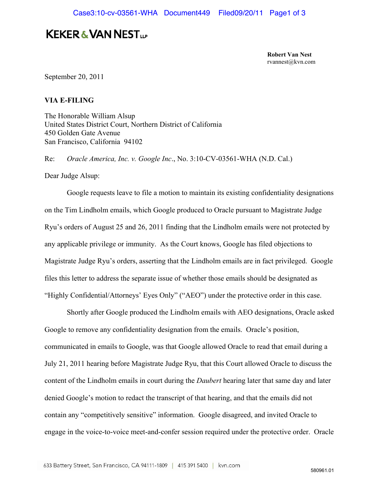## **KEKER & VAN NEST...**

**Robert Van Nest**  rvannest@kvn.com

September 20, 2011

## **VIA E-FILING**

The Honorable William Alsup United States District Court, Northern District of California 450 Golden Gate Avenue San Francisco, California 94102

Re: *Oracle America, Inc. v. Google Inc*., No. 3:10-CV-03561-WHA (N.D. Cal.)

Dear Judge Alsup:

 Google requests leave to file a motion to maintain its existing confidentiality designations on the Tim Lindholm emails, which Google produced to Oracle pursuant to Magistrate Judge Ryu's orders of August 25 and 26, 2011 finding that the Lindholm emails were not protected by any applicable privilege or immunity. As the Court knows, Google has filed objections to Magistrate Judge Ryu's orders, asserting that the Lindholm emails are in fact privileged. Google files this letter to address the separate issue of whether those emails should be designated as "Highly Confidential/Attorneys' Eyes Only" ("AEO") under the protective order in this case.

 Shortly after Google produced the Lindholm emails with AEO designations, Oracle asked Google to remove any confidentiality designation from the emails. Oracle's position, communicated in emails to Google, was that Google allowed Oracle to read that email during a July 21, 2011 hearing before Magistrate Judge Ryu, that this Court allowed Oracle to discuss the content of the Lindholm emails in court during the *Daubert* hearing later that same day and later denied Google's motion to redact the transcript of that hearing, and that the emails did not contain any "competitively sensitive" information. Google disagreed, and invited Oracle to engage in the voice-to-voice meet-and-confer session required under the protective order. Oracle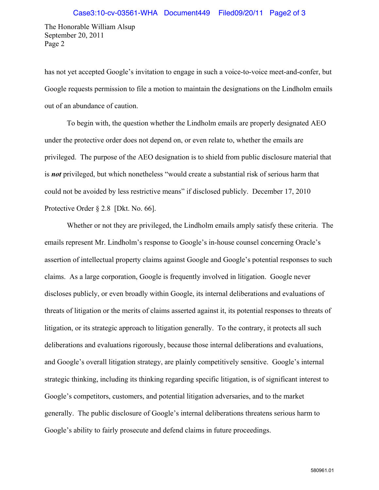The Honorable William Alsup September 20, 2011 Page 2

has not yet accepted Google's invitation to engage in such a voice-to-voice meet-and-confer, but Google requests permission to file a motion to maintain the designations on the Lindholm emails out of an abundance of caution.

 To begin with, the question whether the Lindholm emails are properly designated AEO under the protective order does not depend on, or even relate to, whether the emails are privileged. The purpose of the AEO designation is to shield from public disclosure material that is *not* privileged, but which nonetheless "would create a substantial risk of serious harm that could not be avoided by less restrictive means" if disclosed publicly. December 17, 2010 Protective Order § 2.8 [Dkt. No. 66].

 Whether or not they are privileged, the Lindholm emails amply satisfy these criteria. The emails represent Mr. Lindholm's response to Google's in-house counsel concerning Oracle's assertion of intellectual property claims against Google and Google's potential responses to such claims. As a large corporation, Google is frequently involved in litigation. Google never discloses publicly, or even broadly within Google, its internal deliberations and evaluations of threats of litigation or the merits of claims asserted against it, its potential responses to threats of litigation, or its strategic approach to litigation generally. To the contrary, it protects all such deliberations and evaluations rigorously, because those internal deliberations and evaluations, and Google's overall litigation strategy, are plainly competitively sensitive. Google's internal strategic thinking, including its thinking regarding specific litigation, is of significant interest to Google's competitors, customers, and potential litigation adversaries, and to the market generally. The public disclosure of Google's internal deliberations threatens serious harm to Google's ability to fairly prosecute and defend claims in future proceedings.